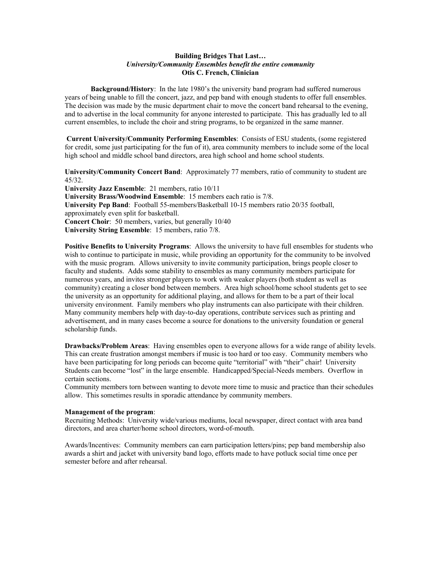# **Building Bridges That Last…**  *University/Community Ensembles benefit the entire community*  **Otis C. French, Clinician**

**Background/History**: In the late 1980's the university band program had suffered numerous years of being unable to fill the concert, jazz, and pep band with enough students to offer full ensembles. The decision was made by the music department chair to move the concert band rehearsal to the evening, and to advertise in the local community for anyone interested to participate. This has gradually led to all current ensembles, to include the choir and string programs, to be organized in the same manner.

 **Current University/Community Performing Ensembles**: Consists of ESU students, (some registered for credit, some just participating for the fun of it), area community members to include some of the local high school and middle school band directors, area high school and home school students.

**University/Community Concert Band**: Approximately 77 members, ratio of community to student are 45/32.

**University Jazz Ensemble**: 21 members, ratio 10/11 **University Brass/Woodwind Ensemble**: 15 members each ratio is 7/8. **University Pep Band**: Football 55-members/Basketball 10-15 members ratio 20/35 football, approximately even split for basketball. **Concert Choir**: 50 members, varies, but generally 10/40 **University String Ensemble**: 15 members, ratio 7/8.

**Positive Benefits to University Programs:** Allows the university to have full ensembles for students who wish to continue to participate in music, while providing an opportunity for the community to be involved with the music program. Allows university to invite community participation, brings people closer to faculty and students. Adds some stability to ensembles as many community members participate for numerous years, and invites stronger players to work with weaker players (both student as well as community) creating a closer bond between members. Area high school/home school students get to see the university as an opportunity for additional playing, and allows for them to be a part of their local university environment. Family members who play instruments can also participate with their children. Many community members help with day-to-day operations, contribute services such as printing and advertisement, and in many cases become a source for donations to the university foundation or general scholarship funds.

**Drawbacks/Problem Areas**: Having ensembles open to everyone allows for a wide range of ability levels. This can create frustration amongst members if music is too hard or too easy. Community members who have been participating for long periods can become quite "territorial" with "their" chair! University Students can become "lost" in the large ensemble. Handicapped/Special-Needs members. Overflow in certain sections.

Community members torn between wanting to devote more time to music and practice than their schedules allow. This sometimes results in sporadic attendance by community members.

## **Management of the program**:

Recruiting Methods: University wide/various mediums, local newspaper, direct contact with area band directors, and area charter/home school directors, word-of-mouth.

Awards/Incentives: Community members can earn participation letters/pins; pep band membership also awards a shirt and jacket with university band logo, efforts made to have potluck social time once per semester before and after rehearsal.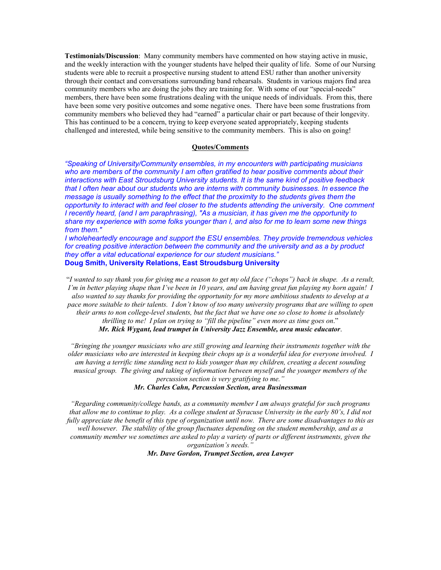**Testimonials/Discussion**: Many community members have commented on how staying active in music, and the weekly interaction with the younger students have helped their quality of life. Some of our Nursing students were able to recruit a prospective nursing student to attend ESU rather than another university through their contact and conversations surrounding band rehearsals. Students in various majors find area community members who are doing the jobs they are training for. With some of our "special-needs" members, there have been some frustrations dealing with the unique needs of individuals. From this, there have been some very positive outcomes and some negative ones. There have been some frustrations from community members who believed they had "earned" a particular chair or part because of their longevity. This has continued to be a concern, trying to keep everyone seated appropriately, keeping students challenged and interested, while being sensitive to the community members. This is also on going!

# **Quotes/Comments**

*"Speaking of University/Community ensembles, in my encounters with participating musicians who are members of the community I am often gratified to hear positive comments about their interactions with East Stroudsburg University students. It is the same kind of positive feedback that I often hear about our students who are interns with community businesses. In essence the message is usually something to the effect that the proximity to the students gives them the opportunity to interact with and feel closer to the students attending the university. One comment I recently heard, (and I am paraphrasing), "As a musician, it has given me the opportunity to share my experience with some folks younger than I, and also for me to learn some new things from them."* 

*I wholeheartedly encourage and support the ESU ensembles. They provide tremendous vehicles for creating positive interaction between the community and the university and as a by product they offer a vital educational experience for our student musicians."* **Doug Smith, University Relations, East Stroudsburg University** 

"*I wanted to say thank you for giving me a reason to get my old face ("chops") back in shape. As a result, I'm in better playing shape than I've been in 10 years, and am having great fun playing my horn again! I also wanted to say thanks for providing the opportunity for my more ambitious students to develop at a pace more suitable to their talents. I don't know of too many university programs that are willing to open their arms to non college-level students, but the fact that we have one so close to home is absolutely thrilling to me! I plan on trying to "fill the pipeline" even more as time goes on*." *Mr. Rick Wygant, lead trumpet in University Jazz Ensemble, area music educator*.

*"Bringing the younger musicians who are still growing and learning their instruments together with the older musicians who are interested in keeping their chops up is a wonderful idea for everyone involved. I am having a terrific time standing next to kids younger than my children, creating a decent sounding musical group. The giving and taking of information between myself and the younger members of the percussion section is very gratifying to me."* 

*Mr. Charles Cahn, Percussion Section, area Businessman* 

*"Regarding community/college bands, as a community member I am always grateful for such programs that allow me to continue to play. As a college student at Syracuse University in the early 80's, I did not fully appreciate the benefit of this type of organization until now. There are some disadvantages to this as well however. The stability of the group fluctuates depending on the student membership, and as a community member we sometimes are asked to play a variety of parts or different instruments, given the organization's needs."* 

*Mr. Dave Gordon, Trumpet Section, area Lawyer*